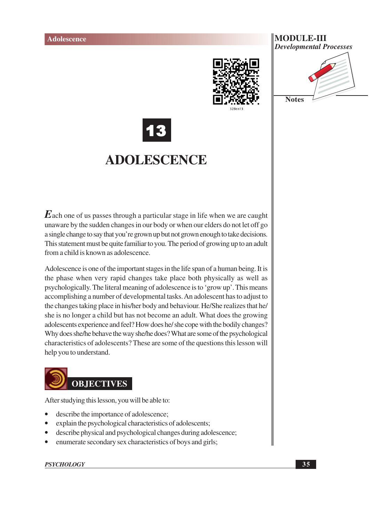

## **MODULE-III Developmental Processes**





# **ADOLESCENCE**

 $\boldsymbol{E}$  ach one of us passes through a particular stage in life when we are caught unaware by the sudden changes in our body or when our elders do not let off go a single change to say that you're grown up but not grown enough to take decisions. This statement must be quite familiar to you. The period of growing up to an adult from a child is known as adolescence.

Adolescence is one of the important stages in the life span of a human being. It is the phase when very rapid changes take place both physically as well as psychologically. The literal meaning of adolescence is to 'grow up'. This means accomplishing a number of developmental tasks. An adolescent has to adjust to the changes taking place in his/her body and behaviour. He/She realizes that he/ she is no longer a child but has not become an adult. What does the growing adolescents experience and feel? How does he/she cope with the bodily changes? Why does she/he behave the way she/he does? What are some of the psychological characteristics of adolescents? These are some of the questions this lesson will help you to understand.



After studying this lesson, you will be able to:

- describe the importance of adolescence;
- explain the psychological characteristics of adolescents;
- describe physical and psychological changes during adolescence;
- enumerate secondary sex characteristics of boys and girls;

### **PSYCHOLOGY**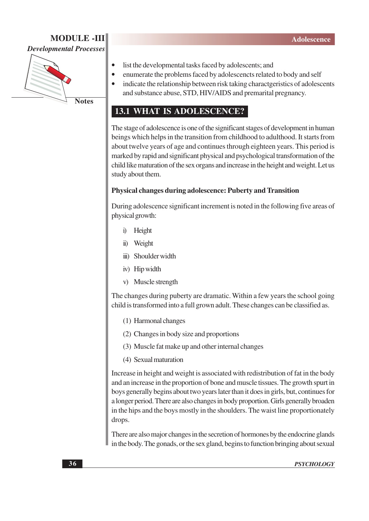### **MODULE -III Developmental Processes**



- list the developmental tasks faced by adolescents; and
- enumerate the problems faced by adolescencts related to body and self  $\bullet$ 
	- indicate the relationship between risk taking charactgeristics of adolescents
	- and substance abuse, STD, HIV/AIDS and premarital pregnancy.

# **13.1 WHAT IS ADOLESCENCE?**

The stage of adolescence is one of the significant stages of development in human beings which helps in the transition from childhood to adulthood. It starts from about twelve years of age and continues through eighteen years. This period is marked by rapid and significant physical and psychological transformation of the child like maturation of the sex organs and increase in the height and weight. Let us study about them.

### Physical changes during adolescence: Puberty and Transition

During adolescence significant increment is noted in the following five areas of physical growth:

- i) Height
- ii) Weight
- iii) Shoulder width
- iv) Hip width
- v) Muscle strength

The changes during puberty are dramatic. Within a few years the school going child is transformed into a full grown adult. These changes can be classified as.

- (1) Harmonal changes
- (2) Changes in body size and proportions
- (3) Muscle fat make up and other internal changes
- (4) Sexual maturation

Increase in height and weight is associated with redistribution of fat in the body and an increase in the proportion of bone and muscle tissues. The growth spurt in boys generally begins about two years later than it does in girls, but, continues for a longer period. There are also changes in body proportion. Girls generally broaden in the hips and the boys mostly in the shoulders. The waist line proportionately drops.

There are also major changes in the secretion of hormones by the endocrine glands in the body. The gonads, or the sex gland, begins to function bringing about sexual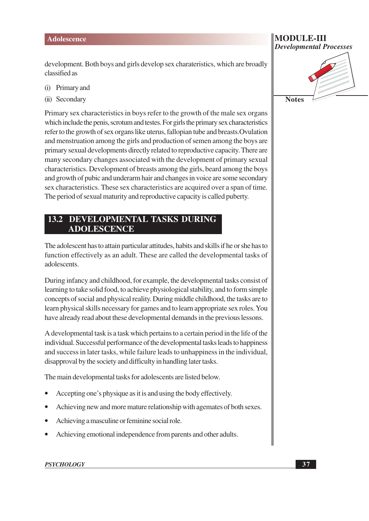development. Both boys and girls develop sex charateristics, which are broadly classified as

- Primary and  $(i)$
- (ii) Secondary

Primary sex characteristics in boys refer to the growth of the male sex organs which include the penis, scrotum and testes. For girls the primary sex characteristics refer to the growth of sex organs like uterus, fallopian tube and breasts. Ovulation and menstruation among the girls and production of semen among the boys are primary sexual developments directly related to reproductive capacity. There are many secondary changes associated with the development of primary sexual characteristics. Development of breasts among the girls, beard among the boys and growth of pubic and underarm hair and changes in voice are some secondary sex characteristics. These sex characteristics are acquired over a span of time. The period of sexual maturity and reproductive capacity is called puberty.

#### DEVELOPMENTAL TASKS DURING 13.2 **ADOLESCENCE**

The adolescent has to attain particular attitudes, habits and skills if he or she has to function effectively as an adult. These are called the developmental tasks of adolescents.

During infancy and childhood, for example, the developmental tasks consist of learning to take solid food, to achieve physiological stability, and to form simple concepts of social and physical reality. During middle childhood, the tasks are to learn physical skills necessary for games and to learn appropriate sex roles. You have already read about these developmental demands in the previous lessons.

A developmental task is a task which pertains to a certain period in the life of the individual. Successful performance of the developmental tasks leads to happiness and success in later tasks, while failure leads to unhappiness in the individual, disapproval by the society and difficulty in handling later tasks.

The main developmental tasks for adolescents are listed below.

- Accepting one's physique as it is and using the body effectively.
- Achieving new and more mature relationship with agemates of both sexes.
- Achieving a masculine or feminine social role.  $\bullet$
- Achieving emotional independence from parents and other adults.  $\bullet$

#### **PSYCHOLOGY**

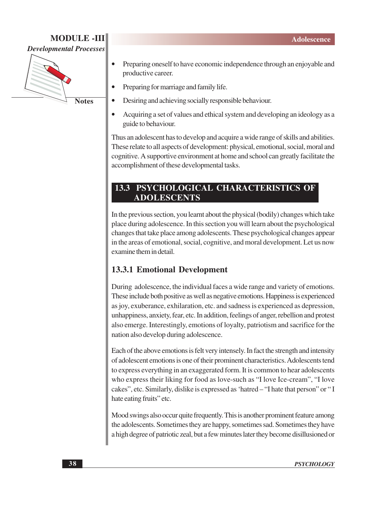# **MODULE-III**

**Developmental Processes** 



- Preparing oneself to have economic independence through an enjoyable and productive career.
- Preparing for marriage and family life.
- Desiring and achieving socially responsible behaviour.
- Acquiring a set of values and ethical system and developing an ideology as a  $\bullet$ guide to behaviour.

Thus an adolescent has to develop and acquire a wide range of skills and abilities. These relate to all aspects of development: physical, emotional, social, moral and cognitive. A supportive environment at home and school can greatly facilitate the accomplishment of these developmental tasks.

# **13.3 PSYCHOLOGICAL CHARACTERISTICS OF ADOLESCENTS**

In the previous section, you learnt about the physical (bodily) changes which take place during adolescence. In this section you will learn about the psychological changes that take place among adolescents. These psychological changes appear in the areas of emotional, social, cognitive, and moral development. Let us now examine them in detail

# **13.3.1 Emotional Development**

During adolescence, the individual faces a wide range and variety of emotions. These include both positive as well as negative emotions. Happiness is experienced as joy, exuberance, exhilaration, etc. and sadness is experienced as depression, unhappiness, anxiety, fear, etc. In addition, feelings of anger, rebellion and protest also emerge. Interestingly, emotions of loyalty, patriotism and sacrifice for the nation also develop during adolescence.

Each of the above emotions is felt very intensely. In fact the strength and intensity of adolescent emotions is one of their prominent characteristics. Adolescents tend to express everything in an exaggerated form. It is common to hear adolescents who express their liking for food as love-such as "I love Ice-cream", "I love cakes", etc. Similarly, dislike is expressed as 'hatred – "I hate that person" or "I hate eating fruits" etc.

Mood swings also occur quite frequently. This is another prominent feature among the adolescents. Sometimes they are happy, sometimes sad. Sometimes they have a high degree of patriotic zeal, but a few minutes later they become disillusioned or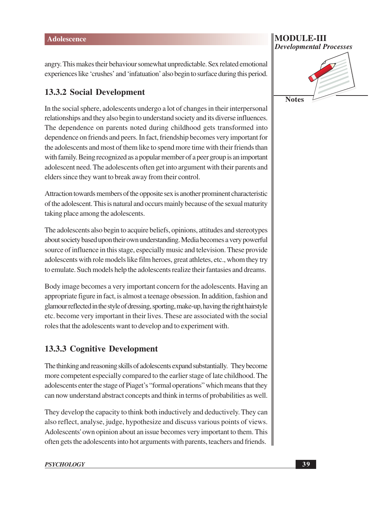angry. This makes their behaviour somewhat unpredictable. Sex related emotional experiences like 'crushes' and 'infatuation' also begin to surface during this period.

# **13.3.2 Social Development**

In the social sphere, adolescents undergo a lot of changes in their interpersonal relationships and they also begin to understand society and its diverse influences. The dependence on parents noted during childhood gets transformed into dependence on friends and peers. In fact, friendship becomes very important for the adolescents and most of them like to spend more time with their friends than with family. Being recognized as a popular member of a peer group is an important adolescent need. The adolescents often get into argument with their parents and elders since they want to break away from their control.

Attraction towards members of the opposite sex is another prominent characteristic of the adolescent. This is natural and occurs mainly because of the sexual maturity taking place among the adolescents.

The adolescents also begin to acquire beliefs, opinions, attitudes and stereotypes about society based upon their own understanding. Media becomes a very powerful source of influence in this stage, especially music and television. These provide adolescents with role models like film heroes, great athletes, etc., whom they try to emulate. Such models help the adolescents realize their fantasies and dreams.

Body image becomes a very important concern for the adolescents. Having an appropriate figure in fact, is almost a teenage obsession. In addition, fashion and glamour reflected in the style of dressing, sporting, make-up, having the right hairstyle etc. become very important in their lives. These are associated with the social roles that the adolescents want to develop and to experiment with.

# **13.3.3 Cognitive Development**

The thinking and reasoning skills of adolescents expand substantially. They become more competent especially compared to the earlier stage of late childhood. The adolescents enter the stage of Piaget's "formal operations" which means that they can now understand abstract concepts and think in terms of probabilities as well.

They develop the capacity to think both inductively and deductively. They can also reflect, analyse, judge, hypothesize and discuss various points of views. Adolescents' own opinion about an issue becomes very important to them. This often gets the adolescents into hot arguments with parents, teachers and friends.

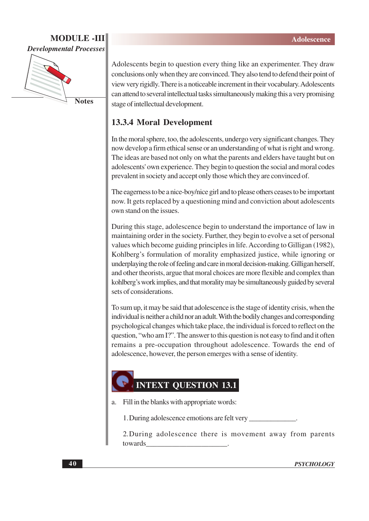# **MODULE -III Developmental Processes**



**Notes** 

Adolescents begin to question every thing like an experimenter. They draw conclusions only when they are convinced. They also tend to defend their point of view very rigidly. There is a noticeable increment in their vocabulary. Adolescents can attend to several intellectual tasks simultaneously making this a very promising stage of intellectual development.

# **13.3.4 Moral Development**

In the moral sphere, too, the adolescents, undergo very significant changes. They now develop a firm ethical sense or an understanding of what is right and wrong. The ideas are based not only on what the parents and elders have taught but on adolescents' own experience. They begin to question the social and moral codes prevalent in society and accept only those which they are convinced of.

The eagerness to be a nice-boy/nice girl and to please others ceases to be important now. It gets replaced by a questioning mind and conviction about adolescents own stand on the issues.

During this stage, adolescence begin to understand the importance of law in maintaining order in the society. Further, they begin to evolve a set of personal values which become guiding principles in life. According to Gilligan (1982), Kohlberg's formulation of morality emphasized justice, while ignoring or underplaying the role of feeling and care in moral decision-making. Gilligan herself, and other theorists, argue that moral choices are more flexible and complex than kohlberg's work implies, and that morality may be simultaneously guided by several sets of considerations.

To sum up, it may be said that adolescence is the stage of identity crisis, when the individual is neither a child nor an adult. With the bodily changes and corresponding psychological changes which take place, the individual is forced to reflect on the question, "who am I?". The answer to this question is not easy to find and it often remains a pre-occupation throughout adolescence. Towards the end of adolescence, however, the person emerges with a sense of identity.

# **INTEXT OUESTION 13.1**

a. Fill in the blanks with appropriate words:

1. During adolescence emotions are felt very

2. During adolescence there is movement away from parents towards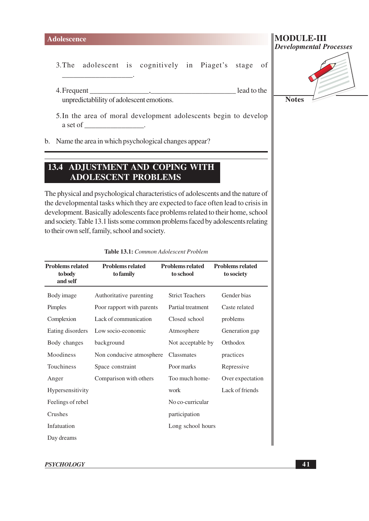$3.$ The adolescent is cognitively in Piaget's stage of

- 4. Frequent lead to the unpredictablility of adolescent emotions.
- 5. In the area of moral development adolescents begin to develop a set of the set of the set of the set of the set of the set of the set of the set of the set of the set of the set of the set of the set of the set of the set of the set of the set of the set of the set of the set of the
- b. Name the area in which psychological changes appear?

# **13.4 ADJUSTMENT AND COPING WITH ADOLESCENT PROBLEMS**

The physical and psychological characteristics of adolescents and the nature of the developmental tasks which they are expected to face often lead to crisis in development. Basically adolescents face problems related to their home, school and society. Table 13.1 lists some common problems faced by adolescents relating to their own self, family, school and society.

| <b>Problems related</b><br>to body<br>and self | <b>Problems related</b><br>to family | <b>Problems related</b><br>to school | <b>Problems related</b><br>to society |
|------------------------------------------------|--------------------------------------|--------------------------------------|---------------------------------------|
| Body image                                     | Authoritative parenting              | <b>Strict Teachers</b>               | Gender bias                           |
| Pimples                                        | Poor rapport with parents            | Partial treatment                    | Caste related                         |
| Complexion                                     | Lack of communication                | Closed school                        | problems                              |
| Eating disorders                               | Low socio-economic                   | Atmosphere                           | Generation gap                        |
| Body changes                                   | background                           | Not acceptable by                    | Orthodox                              |
| Moodiness                                      | Non conducive atmosphere             | Classmates                           | practices                             |
| Touchiness                                     | Space constraint                     | Poor marks                           | Repressive                            |
| Anger                                          | Comparison with others               | Too much home-                       | Over expectation                      |
| Hypersensitivity                               |                                      | work                                 | Lack of friends                       |
| Feelings of rebel                              |                                      | No co-curricular                     |                                       |
| Crushes                                        |                                      | participation                        |                                       |
| Infatuation                                    |                                      | Long school hours                    |                                       |
| Day dreams                                     |                                      |                                      |                                       |

#### Table 13.1: Common Adolescent Problem



**PSYCHOLOGY**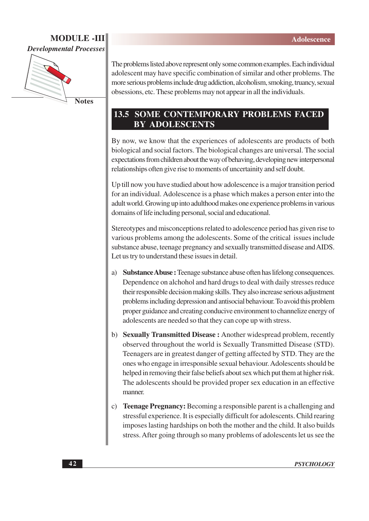## **MODULE-III Developmental Processes**



**Notes** 

The problems listed above represent only some common examples. Each individual adolescent may have specific combination of similar and other problems. The more serious problems include drug addiction, alcoholism, smoking, truancy, sexual obsessions, etc. These problems may not appear in all the individuals.

# **13.5 SOME CONTEMPORARY PROBLEMS FACED BY ADOLESCENTS**

By now, we know that the experiences of adolescents are products of both biological and social factors. The biological changes are universal. The social expectations from children about the way of behaving, developing new interpersonal relationships often give rise to moments of uncertainity and self doubt.

Up till now you have studied about how adolescence is a major transition period for an individual. Adolescence is a phase which makes a person enter into the adult world. Growing up into adulthood makes one experience problems in various domains of life including personal, social and educational.

Stereotypes and misconceptions related to adolescence period has given rise to various problems among the adolescents. Some of the critical issues include substance abuse, teenage pregnancy and sexually transmitted disease and AIDS. Let us try to understand these issues in detail.

- a) Substance Abuse : Teenage substance abuse often has lifelong consequences. Dependence on alchohol and hard drugs to deal with daily stresses reduce their responsible decision making skills. They also increase serious adjustment problems including depression and antisocial behaviour. To avoid this problem proper guidance and creating conducive environment to channelize energy of adolescents are needed so that they can cope up with stress.
- b) Sexually Transmitted Disease: Another widespread problem, recently observed throughout the world is Sexually Transmitted Disease (STD). Teenagers are in greatest danger of getting affected by STD. They are the ones who engage in irresponsible sexual behaviour. Adolescents should be helped in removing their false beliefs about sex which put them at higher risk. The adolescents should be provided proper sex education in an effective manner.
- c) Teenage Pregnancy: Becoming a responsible parent is a challenging and stressful experience. It is especially difficult for adolescents. Child rearing imposes lasting hardships on both the mother and the child. It also builds stress. After going through so many problems of adolescents let us see the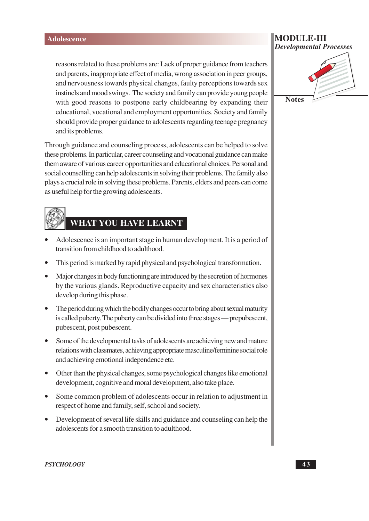reasons related to these problems are: Lack of proper guidance from teachers and parents, inappropriate effect of media, wrong association in peer groups, and nervousness towards physical changes, faulty perceptions towards sex instincts and mood swings. The society and family can provide young people with good reasons to postpone early child bearing by expanding their educational, vocational and employment opportunities. Society and family should provide proper guidance to adolescents regarding teenage pregnancy and its problems.

Through guidance and counseling process, adolescents can be helped to solve these problems. In particular, career counseling and vocational guidance can make them aware of various career opportunities and educational choices. Personal and social counselling can help adolescents in solving their problems. The family also plays a crucial role in solving these problems. Parents, elders and peers can come as useful help for the growing adolescents.

# **WHAT YOU HAVE LEARNT**

- Adolescence is an important stage in human development. It is a period of transition from childhood to adulthood.
- This period is marked by rapid physical and psychological transformation.
- Major changes in body functioning are introduced by the secretion of hormones by the various glands. Reproductive capacity and sex characteristics also develop during this phase.
- The period during which the bodily changes occur to bring about sexual maturity is called puberty. The puberty can be divided into three stages — prepubescent, pubescent, post pubescent.
- Some of the developmental tasks of adolescents are achieving new and mature relations with classmates, achieving appropriate masculine/feminine social role and achieving emotional independence etc.
- Other than the physical changes, some psychological changes like emotional development, cognitive and moral development, also take place.
- Some common problem of adolescents occur in relation to adjustment in respect of home and family, self, school and society.
- Development of several life skills and guidance and counseling can help the adolescents for a smooth transition to adulthood.

### MODULE-III **Developmental Processes**